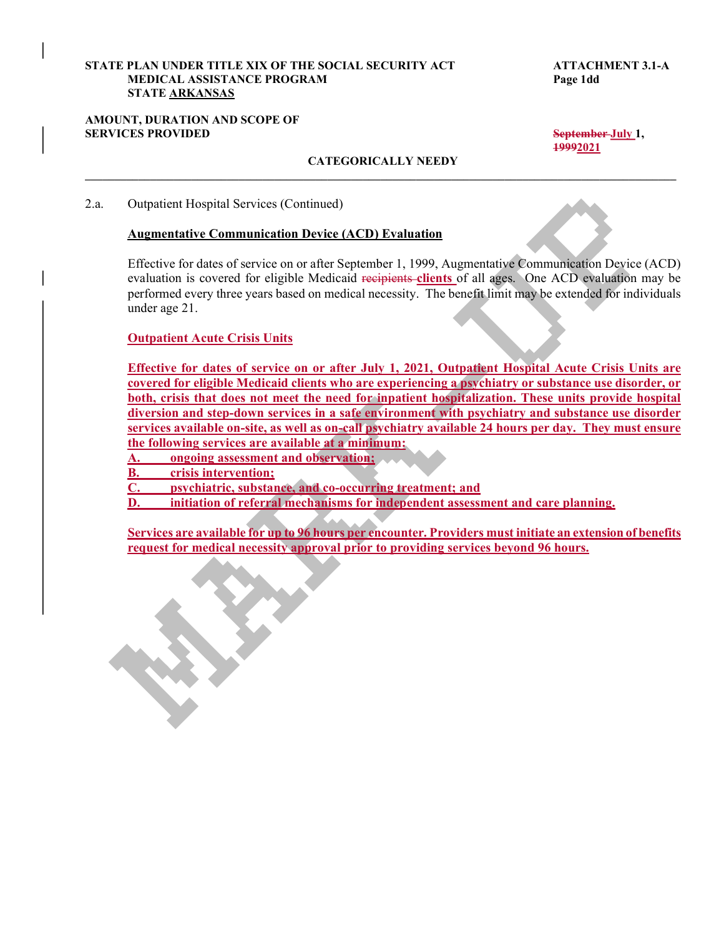#### STATE PLAN UNDER TITLE XIX OF THE SOCIAL SECURITY ACT ATTACHMENT 3.1-A MEDICAL ASSISTANCE PROGRAM Page 1dd STATE ARKANSAS

#### AMOUNT, DURATION AND SCOPE OF SERVICES PROVIDED September July 1,

19992021

## CATEGORICALLY NEEDY

2.a. Outpatient Hospital Services (Continued)

### Augmentative Communication Device (ACD) Evaluation

Effective for dates of service on or after September 1, 1999, Augmentative Communication Device (ACD) evaluation is covered for eligible Medicaid recipients clients of all ages. One ACD evaluation may be performed every three years based on medical necessity. The benefit limit may be extended for individuals under age 21.

#### Outpatient Acute Crisis Units

Effective for dates of service on or after July 1, 2021, Outpatient Hospital Acute Crisis Units are covered for eligible Medicaid clients who are experiencing a psychiatry or substance use disorder, or both, crisis that does not meet the need for inpatient hospitalization. These units provide hospital diversion and step-down services in a safe environment with psychiatry and substance use disorder services available on-site, as well as on-call psychiatry available 24 hours per day. They must ensure the following services are available at a minimum:

A. ongoing assessment and observation;

B. crisis intervention;

C. psychiatric, substance, and co-occurring treatment; and

D. initiation of referral mechanisms for independent assessment and care planning.

Services are available for up to 96 hours per encounter. Providers must initiate an extension of benefits request for medical necessity approval prior to providing services beyond 96 hours.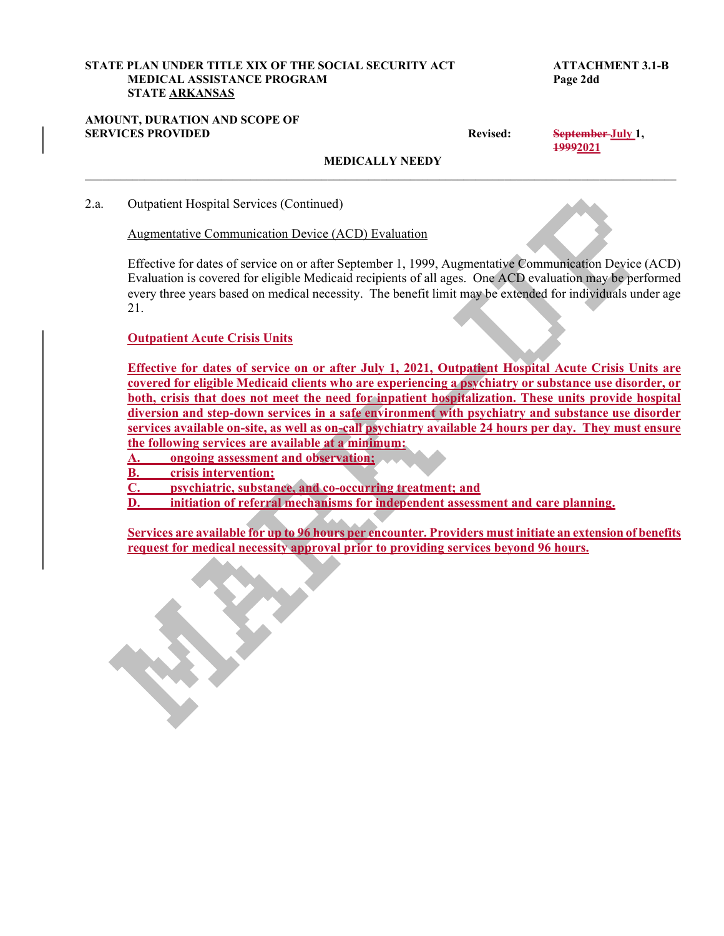# STATE PLAN UNDER TITLE XIX OF THE SOCIAL SECURITY ACT ATTACHMENT 3.1-B MEDICAL ASSISTANCE PROGRAM Page 2dd STATE ARKANSAS STATE PLAN UNDER TITLE XIX OF THE SOCIAL SECURITY ACT<br>
MEDICAL ASSISTANCE PROGRAM<br>
STATE <u>ARKANSAS</u><br>
AMOUNT, DURATION AND SCOPE OF<br>
Revised: September July 1,<br>
MEDICALLY NEEDY<br>
2.a. Outpatient Hospital Services (Continued)

## AMOUNT, DURATION AND SCOPE OF

19992021

## MEDICALLY NEEDY

2.a. Outpatient Hospital Services (Continued)

Augmentative Communication Device (ACD) Evaluation

Effective for dates of service on or after September 1, 1999, Augmentative Communication Device (ACD) Evaluation is covered for eligible Medicaid recipients of all ages. One ACD evaluation may be performed every three years based on medical necessity. The benefit limit may be extended for individuals under age 21.

Outpatient Acute Crisis Units

Effective for dates of service on or after July 1, 2021, Outpatient Hospital Acute Crisis Units are covered for eligible Medicaid clients who are experiencing a psychiatry or substance use disorder, or both, crisis that does not meet the need for inpatient hospitalization. These units provide hospital diversion and step-down services in a safe environment with psychiatry and substance use disorder services available on-site, as well as on-call psychiatry available 24 hours per day. They must ensure the following services are available at a minimum:

A. ongoing assessment and observation;

B. crisis intervention;

C. psychiatric, substance, and co-occurring treatment; and

D. initiation of referral mechanisms for independent assessment and care planning.

Services are available for up to 96 hours per encounter. Providers must initiate an extension of benefits request for medical necessity approval prior to providing services beyond 96 hours.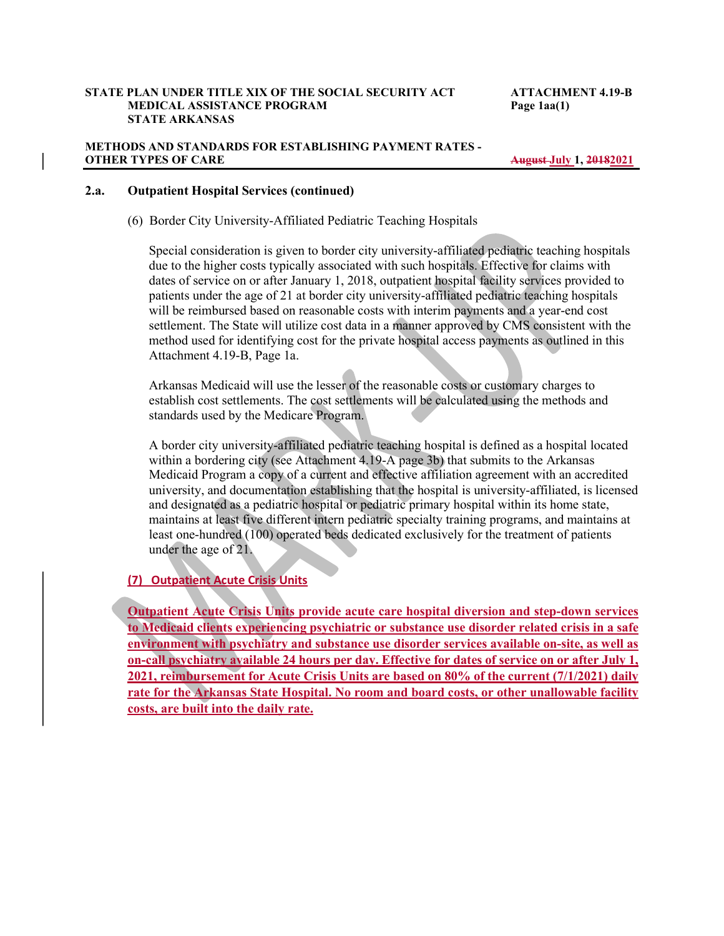#### STATE PLAN UNDER TITLE XIX OF THE SOCIAL SECURITY ACT ATTACHMENT 4.19-B MEDICAL ASSISTANCE PROGRAM Page 1aa(1) STATE ARKANSAS

#### METHODS AND STANDARDS FOR ESTABLISHING PAYMENT RATES - OTHER TYPES OF CARE August July 1, 20182021

#### 2.a. Outpatient Hospital Services (continued)

(6) Border City University-Affiliated Pediatric Teaching Hospitals

Special consideration is given to border city university-affiliated pediatric teaching hospitals due to the higher costs typically associated with such hospitals. Effective for claims with dates of service on or after January 1, 2018, outpatient hospital facility services provided to patients under the age of 21 at border city university-affiliated pediatric teaching hospitals will be reimbursed based on reasonable costs with interim payments and a year-end cost settlement. The State will utilize cost data in a manner approved by CMS consistent with the method used for identifying cost for the private hospital access payments as outlined in this Attachment 4.19-B, Page 1a.

Arkansas Medicaid will use the lesser of the reasonable costs or customary charges to establish cost settlements. The cost settlements will be calculated using the methods and standards used by the Medicare Program.

A border city university-affiliated pediatric teaching hospital is defined as a hospital located within a bordering city (see Attachment 4.19-A page 3b) that submits to the Arkansas Medicaid Program a copy of a current and effective affiliation agreement with an accredited university, and documentation establishing that the hospital is university-affiliated, is licensed and designated as a pediatric hospital or pediatric primary hospital within its home state, maintains at least five different intern pediatric specialty training programs, and maintains at least one-hundred (100) operated beds dedicated exclusively for the treatment of patients under the age of 21.

#### (7) Outpatient Acute Crisis Units

Outpatient Acute Crisis Units provide acute care hospital diversion and step-down services to Medicaid clients experiencing psychiatric or substance use disorder related crisis in a safe environment with psychiatry and substance use disorder services available on-site, as well as on-call psychiatry available 24 hours per day. Effective for dates of service on or after July 1, 2021, reimbursement for Acute Crisis Units are based on 80% of the current (7/1/2021) daily rate for the Arkansas State Hospital. No room and board costs, or other unallowable facility costs, are built into the daily rate.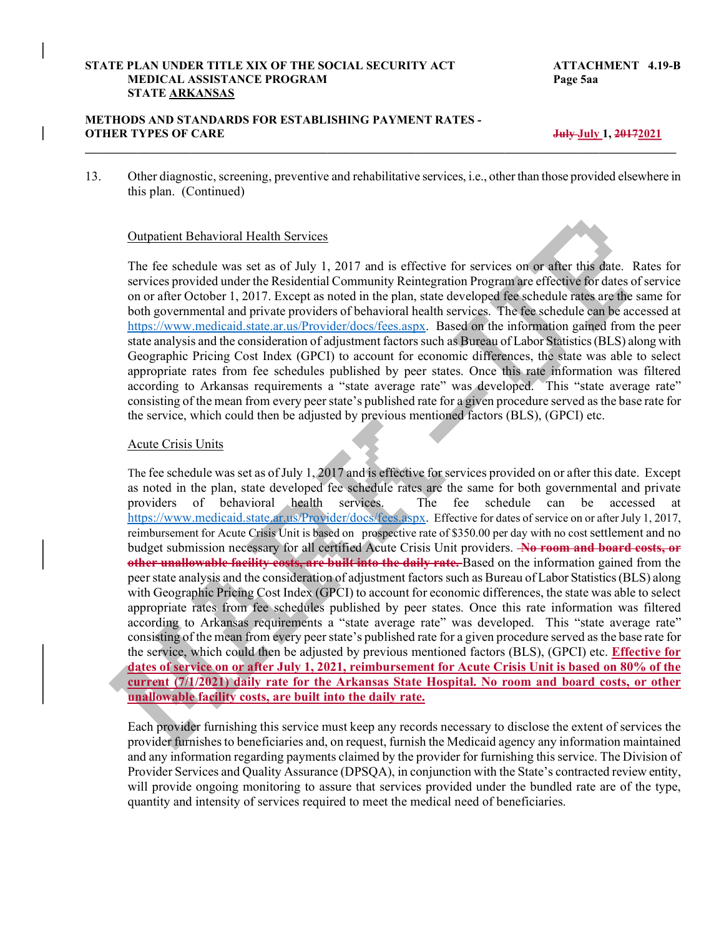#### STATE PLAN UNDER TITLE XIX OF THE SOCIAL SECURITY ACT ATTACHMENT 4.19-B MEDICAL ASSISTANCE PROGRAM Page 5aa STATE ARKANSAS

#### METHODS AND STANDARDS FOR ESTABLISHING PAYMENT RATES - OTHER TYPES OF CARE  $J_{\text{H}}$  and  $J_{\text{H}}$  and  $J_{\text{H}}$  and  $J_{\text{H}}$  and  $J_{\text{H}}$  and  $J_{\text{H}}$  and  $J_{\text{H}}$  and  $J_{\text{H}}$  and  $J_{\text{H}}$  and  $J_{\text{H}}$  and  $J_{\text{H}}$  and  $J_{\text{H}}$  and  $J_{\text{H}}$  and  $J_{\text{H}}$  and  $J_{\text{$

13. Other diagnostic, screening, preventive and rehabilitative services, i.e., other than those provided elsewhere in this plan. (Continued)

PLAN UNDER TITLE XIX OF THE SOCIAL SECURITY ACT<br>
MEDICAL ASSISTANCE PROGRAM<br>
STATE <u>ARKANSAS</u><br>
DIS AND STANDARDS FOR ESTABLISHING PAYMENT RATES -<br>
TYPES OF CARE<br>
Other diagnostic, screening, preventive and rehabilitative s The fee schedule was set as of July 1, 2017 and is effective for services on or after this date. Rates for services provided under the Residential Community Reintegration Program are effective for dates of service on or after October 1, 2017. Except as noted in the plan, state developed fee schedule rates are the same for both governmental and private providers of behavioral health services. The fee schedule can be accessed at https://www.medicaid.state.ar.us/Provider/docs/fees.aspx. Based on the information gained from the peer state analysis and the consideration of adjustment factors such as Bureau of Labor Statistics (BLS) along with Geographic Pricing Cost Index (GPCI) to account for economic differences, the state was able to select appropriate rates from fee schedules published by peer states. Once this rate information was filtered according to Arkansas requirements a "state average rate" was developed. This "state average rate" consisting of the mean from every peer state's published rate for a given procedure served as the base rate for the service, which could then be adjusted by previous mentioned factors (BLS), (GPCI) etc.

#### Acute Crisis Units

The fee schedule was set as of July 1, 2017 and is effective for services provided on or after this date. Except as noted in the plan, state developed fee schedule rates are the same for both governmental and private providers of behavioral health services. The fee schedule can be accessed at https://www.medicaid.state.ar.us/Provider/docs/fees.aspx. Effective for dates of service on or after July 1, 2017, reimbursement for Acute Crisis Unit is based on prospective rate of \$350.00 per day with no cost settlement and no budget submission necessary for all certified Acute Crisis Unit providers. No room and board costs, or other unallowable facility costs, are built into the daily rate. Based on the information gained from the peer state analysis and the consideration of adjustment factors such as Bureau of Labor Statistics (BLS) along with Geographic Pricing Cost Index (GPCI) to account for economic differences, the state was able to select appropriate rates from fee schedules published by peer states. Once this rate information was filtered according to Arkansas requirements a "state average rate" was developed. This "state average rate" consisting of the mean from every peer state's published rate for a given procedure served as the base rate for the service, which could then be adjusted by previous mentioned factors (BLS), (GPCI) etc. Effective for dates of service on or after July 1, 2021, reimbursement for Acute Crisis Unit is based on 80% of the current (7/1/2021) daily rate for the Arkansas State Hospital. No room and board costs, or other unallowable facility costs, are built into the daily rate.

Each provider furnishing this service must keep any records necessary to disclose the extent of services the provider furnishes to beneficiaries and, on request, furnish the Medicaid agency any information maintained and any information regarding payments claimed by the provider for furnishing this service. The Division of Provider Services and Quality Assurance (DPSQA), in conjunction with the State's contracted review entity, will provide ongoing monitoring to assure that services provided under the bundled rate are of the type, quantity and intensity of services required to meet the medical need of beneficiaries.